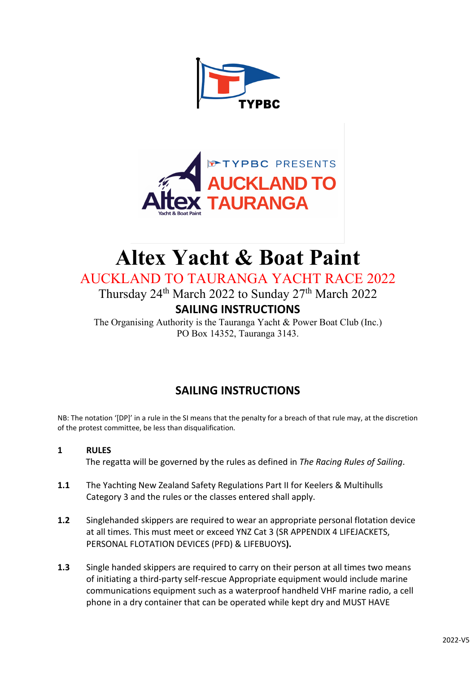



# **Altex Yacht & Boat Paint**

# AUCKLAND TO TAURANGA YACHT RACE 2022

Thursday 24<sup>th</sup> March 2022 to Sunday 27<sup>th</sup> March 2022

# **SAILING INSTRUCTIONS**

The Organising Authority is the Tauranga Yacht & Power Boat Club (Inc.) PO Box 14352, Tauranga 3143.

# **SAILING INSTRUCTIONS**

NB: The notation '[DP]' in a rule in the SI means that the penalty for a breach of that rule may, at the discretion of the protest committee, be less than disqualification*.*

# **1 RULES**

The regatta will be governed by the rules as defined in *The Racing Rules of Sailing*.

- **1.1** The Yachting New Zealand Safety Regulations Part II for Keelers & Multihulls Category 3 and the rules or the classes entered shall apply.
- **1.2** Singlehanded skippers are required to wear an appropriate personal flotation device at all times. This must meet or exceed YNZ Cat 3 (SR APPENDIX 4 LIFEJACKETS, PERSONAL FLOTATION DEVICES (PFD) & LIFEBUOYS**).**
- **1.3** Single handed skippers are required to carry on their person at all times two means of initiating a third-party self-rescue Appropriate equipment would include marine communications equipment such as a waterproof handheld VHF marine radio, a cell phone in a dry container that can be operated while kept dry and MUST HAVE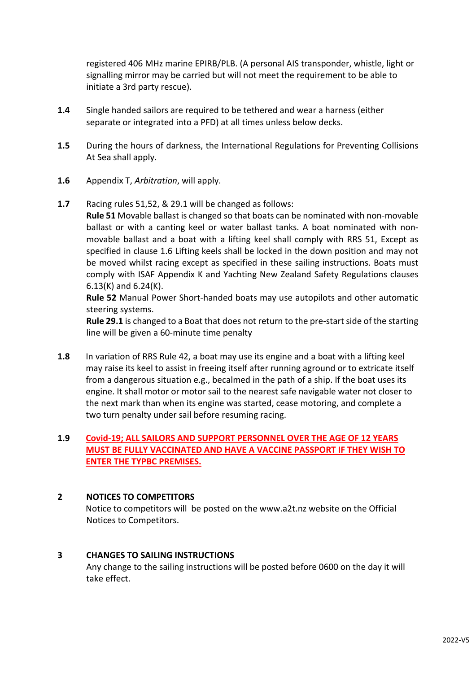registered 406 MHz marine EPIRB/PLB. (A personal AIS transponder, whistle, light or signalling mirror may be carried but will not meet the requirement to be able to initiate a 3rd party rescue).

- **1.4** Single handed sailors are required to be tethered and wear a harness (either separate or integrated into a PFD) at all times unless below decks.
- **1.5** During the hours of darkness, the International Regulations for Preventing Collisions At Sea shall apply.
- **1.6** Appendix T, *Arbitration*, will apply.
- **1.7** Racing rules 51,52, & 29.1 will be changed as follows:

**Rule 51** Movable ballast is changed so that boats can be nominated with non-movable ballast or with a canting keel or water ballast tanks. A boat nominated with nonmovable ballast and a boat with a lifting keel shall comply with RRS 51, Except as specified in clause 1.6 Lifting keels shall be locked in the down position and may not be moved whilst racing except as specified in these sailing instructions. Boats must comply with ISAF Appendix K and Yachting New Zealand Safety Regulations clauses 6.13(K) and 6.24(K).

**Rule 52** Manual Power Short-handed boats may use autopilots and other automatic steering systems.

**Rule 29.1** is changed to a Boat that does not return to the pre-start side of the starting line will be given a 60-minute time penalty

**1.8** In variation of RRS Rule 42, a boat may use its engine and a boat with a lifting keel may raise its keel to assist in freeing itself after running aground or to extricate itself from a dangerous situation e.g., becalmed in the path of a ship. If the boat uses its engine. It shall motor or motor sail to the nearest safe navigable water not closer to the next mark than when its engine was started, cease motoring, and complete a two turn penalty under sail before resuming racing.

# **1.9 Covid-19; ALL SAILORS AND SUPPORT PERSONNEL OVER THE AGE OF 12 YEARS MUST BE FULLY VACCINATED AND HAVE A VACCINE PASSPORT IF THEY WISH TO ENTER THE TYPBC PREMISES.**

# **2 NOTICES TO COMPETITORS**

Notice to competitors will be posted on the [www.a2t.nz](http://www.a2t.nz/) website on the Official Notices to Competitors.

# **3 CHANGES TO SAILING INSTRUCTIONS**

Any change to the sailing instructions will be posted before 0600 on the day it will take effect.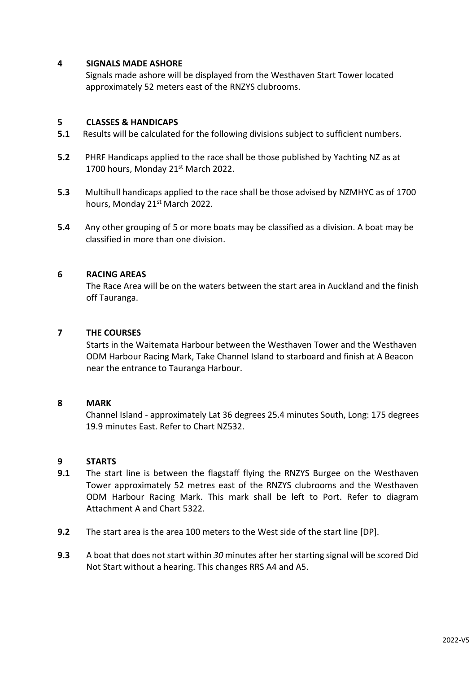#### **4 SIGNALS MADE ASHORE**

Signals made ashore will be displayed from the Westhaven Start Tower located approximately 52 meters east of the RNZYS clubrooms.

#### **5 CLASSES & HANDICAPS**

- **5.1** Results will be calculated for the following divisions subject to sufficient numbers.
- **5.2** PHRF Handicaps applied to the race shall be those published by Yachting NZ as at 1700 hours, Monday 21<sup>st</sup> March 2022.
- **5.3** Multihull handicaps applied to the race shall be those advised by NZMHYC as of 1700 hours, Monday 21<sup>st</sup> March 2022.
- **5.4** Any other grouping of 5 or more boats may be classified as a division. A boat may be classified in more than one division.

#### **6 RACING AREAS**

The Race Area will be on the waters between the start area in Auckland and the finish off Tauranga.

#### **7 THE COURSES**

Starts in the Waitemata Harbour between the Westhaven Tower and the Westhaven ODM Harbour Racing Mark, Take Channel Island to starboard and finish at A Beacon near the entrance to Tauranga Harbour.

#### **8 MARK**

Channel Island - approximately Lat 36 degrees 25.4 minutes South, Long: 175 degrees 19.9 minutes East. Refer to Chart NZ532.

#### **9 STARTS**

- **9.1** The start line is between the flagstaff flying the RNZYS Burgee on the Westhaven Tower approximately 52 metres east of the RNZYS clubrooms and the Westhaven ODM Harbour Racing Mark. This mark shall be left to Port. Refer to diagram Attachment A and Chart 5322.
- **9.2** The start area is the area 100 meters to the West side of the start line [DP].
- **9.3** A boat that does not start within *30* minutes after her starting signal will be scored Did Not Start without a hearing. This changes RRS A4 and A5.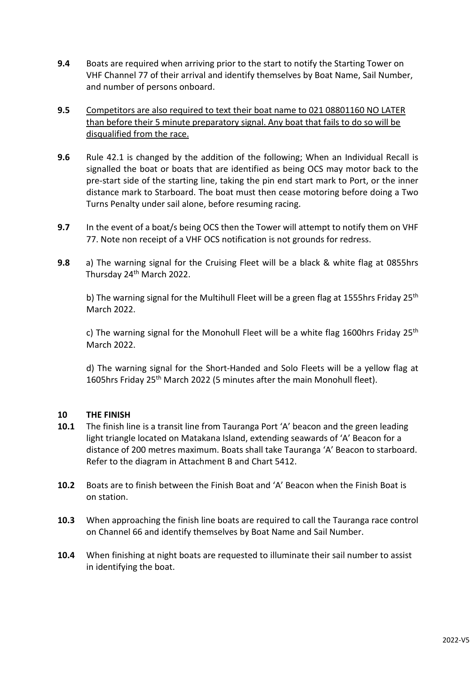**9.4** Boats are required when arriving prior to the start to notify the Starting Tower on VHF Channel 77 of their arrival and identify themselves by Boat Name, Sail Number, and number of persons onboard.

# **9.5** Competitors are also required to text their boat name to 021 08801160 NO LATER than before their 5 minute preparatory signal. Any boat that fails to do so will be disqualified from the race.

- **9.6** Rule 42.1 is changed by the addition of the following; When an Individual Recall is signalled the boat or boats that are identified as being OCS may motor back to the pre-start side of the starting line, taking the pin end start mark to Port, or the inner distance mark to Starboard. The boat must then cease motoring before doing a Two Turns Penalty under sail alone, before resuming racing.
- **9.7** In the event of a boat/s being OCS then the Tower will attempt to notify them on VHF 77. Note non receipt of a VHF OCS notification is not grounds for redress.
- **9.8** a) The warning signal for the Cruising Fleet will be a black & white flag at 0855hrs Thursday 24<sup>th</sup> March 2022.

b) The warning signal for the Multihull Fleet will be a green flag at 1555hrs Friday 25<sup>th</sup> March 2022.

c) The warning signal for the Monohull Fleet will be a white flag 1600hrs Friday 25<sup>th</sup> March 2022.

d) The warning signal for the Short-Handed and Solo Fleets will be a yellow flag at 1605hrs Friday 25<sup>th</sup> March 2022 (5 minutes after the main Monohull fleet).

# **10 THE FINISH**

- **10.1** The finish line is a transit line from Tauranga Port 'A' beacon and the green leading light triangle located on Matakana Island, extending seawards of 'A' Beacon for a distance of 200 metres maximum. Boats shall take Tauranga 'A' Beacon to starboard. Refer to the diagram in Attachment B and Chart 5412.
- **10.2** Boats are to finish between the Finish Boat and 'A' Beacon when the Finish Boat is on station.
- **10.3** When approaching the finish line boats are required to call the Tauranga race control on Channel 66 and identify themselves by Boat Name and Sail Number.
- **10.4** When finishing at night boats are requested to illuminate their sail number to assist in identifying the boat.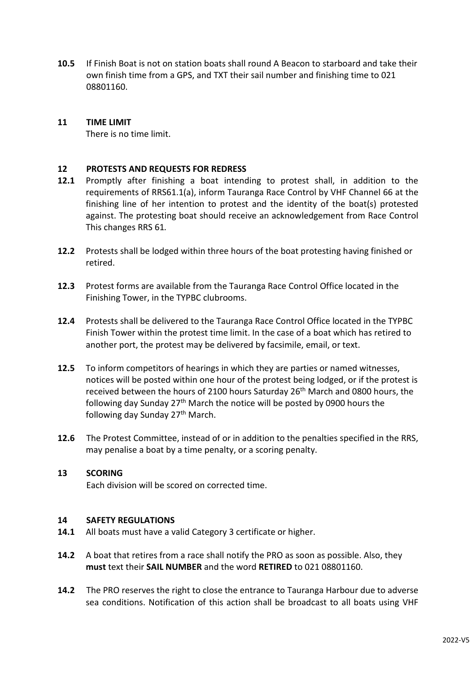**10.5** If Finish Boat is not on station boats shall round A Beacon to starboard and take their own finish time from a GPS, and TXT their sail number and finishing time to 021 08801160.

#### **11 TIME LIMIT**

There is no time limit.

#### **12 PROTESTS AND REQUESTS FOR REDRESS**

- **12.1** Promptly after finishing a boat intending to protest shall, in addition to the requirements of RRS61.1(a), inform Tauranga Race Control by VHF Channel 66 at the finishing line of her intention to protest and the identity of the boat(s) protested against. The protesting boat should receive an acknowledgement from Race Control This changes RRS 61*.*
- **12.2** Protests shall be lodged within three hours of the boat protesting having finished or retired.
- **12.3** Protest forms are available from the Tauranga Race Control Office located in the Finishing Tower, in the TYPBC clubrooms.
- **12.4** Protests shall be delivered to the Tauranga Race Control Office located in the TYPBC Finish Tower within the protest time limit. In the case of a boat which has retired to another port, the protest may be delivered by facsimile, email, or text.
- **12.5** To inform competitors of hearings in which they are parties or named witnesses, notices will be posted within one hour of the protest being lodged, or if the protest is received between the hours of 2100 hours Saturday 26th March and 0800 hours, the following day Sunday  $27<sup>th</sup>$  March the notice will be posted by 0900 hours the following day Sunday  $27<sup>th</sup>$  March.
- **12.6** The Protest Committee, instead of or in addition to the penalties specified in the RRS, may penalise a boat by a time penalty, or a scoring penalty.

#### **13 SCORING**

Each division will be scored on corrected time.

#### **14 SAFETY REGULATIONS**

- **14.1** All boats must have a valid Category 3 certificate or higher.
- **14.2** A boat that retires from a race shall notify the PRO as soon as possible. Also, they **must** text their **SAIL NUMBER** and the word **RETIRED** to 021 08801160.
- **14.2** The PRO reserves the right to close the entrance to Tauranga Harbour due to adverse sea conditions. Notification of this action shall be broadcast to all boats using VHF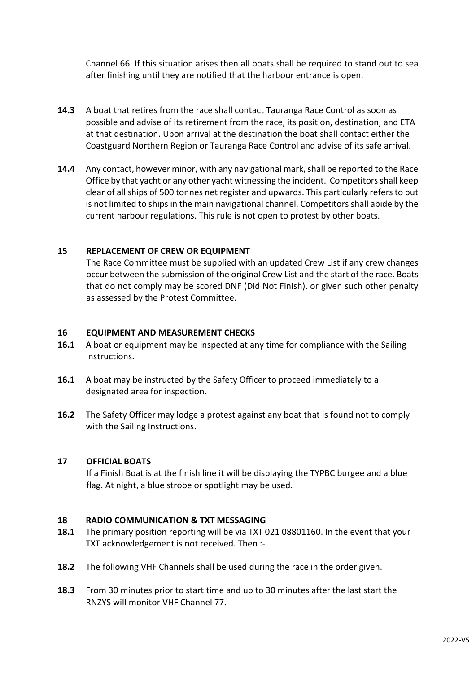Channel 66. If this situation arises then all boats shall be required to stand out to sea after finishing until they are notified that the harbour entrance is open.

- **14.3** A boat that retires from the race shall contact Tauranga Race Control as soon as possible and advise of its retirement from the race, its position, destination, and ETA at that destination. Upon arrival at the destination the boat shall contact either the Coastguard Northern Region or Tauranga Race Control and advise of its safe arrival.
- **14.4** Any contact, however minor, with any navigational mark, shall be reported to the Race Office by that yacht or any other yacht witnessing the incident. Competitors shall keep clear of all ships of 500 tonnes net register and upwards. This particularly refers to but is not limited to ships in the main navigational channel. Competitors shall abide by the current harbour regulations. This rule is not open to protest by other boats.

#### **15 REPLACEMENT OF CREW OR EQUIPMENT**

The Race Committee must be supplied with an updated Crew List if any crew changes occur between the submission of the original Crew List and the start of the race. Boats that do not comply may be scored DNF (Did Not Finish), or given such other penalty as assessed by the Protest Committee.

#### **16 EQUIPMENT AND MEASUREMENT CHECKS**

- **16.1** A boat or equipment may be inspected at any time for compliance with the Sailing Instructions.
- **16.1** A boat may be instructed by the Safety Officer to proceed immediately to a designated area for inspection**.**
- **16.2** The Safety Officer may lodge a protest against any boat that is found not to comply with the Sailing Instructions.

#### **17 OFFICIAL BOATS**

If a Finish Boat is at the finish line it will be displaying the TYPBC burgee and a blue flag. At night, a blue strobe or spotlight may be used.

#### **18 RADIO COMMUNICATION & TXT MESSAGING**

- **18.1** The primary position reporting will be via TXT 021 08801160. In the event that your TXT acknowledgement is not received. Then :-
- **18.2** The following VHF Channels shall be used during the race in the order given.
- **18.3** From 30 minutes prior to start time and up to 30 minutes after the last start the RNZYS will monitor VHF Channel 77.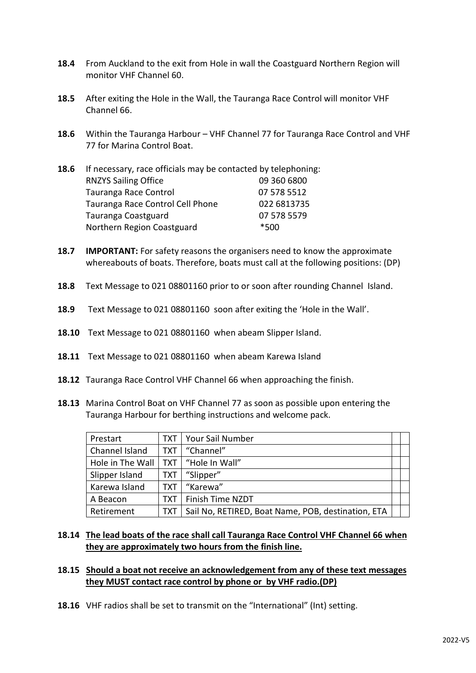- **18.4** From Auckland to the exit from Hole in wall the Coastguard Northern Region will monitor VHF Channel 60.
- **18.5** After exiting the Hole in the Wall, the Tauranga Race Control will monitor VHF Channel 66.
- **18.6** Within the Tauranga Harbour VHF Channel 77 for Tauranga Race Control and VHF 77 for Marina Control Boat.
- **18.6** If necessary, race officials may be contacted by telephoning: RNZYS Sailing Office 09 360 6800 Tauranga Race Control 07 578 5512 Tauranga Race Control Cell Phone 022 6813735 Tauranga Coastguard 07 578 5579 Northern Region Coastguard \*500
- **18.7 IMPORTANT:** For safety reasons the organisers need to know the approximate whereabouts of boats. Therefore, boats must call at the following positions: (DP)
- **18.8** Text Message to 021 08801160 prior to or soon after rounding Channel Island.
- **18.9** Text Message to 021 08801160 soon after exiting the 'Hole in the Wall'.
- **18.10** Text Message to 021 08801160 when abeam Slipper Island.
- **18.11** Text Message to 021 08801160 when abeam Karewa Island
- **18.12** Tauranga Race Control VHF Channel 66 when approaching the finish.
- **18.13** Marina Control Boat on VHF Channel 77 as soon as possible upon entering the Tauranga Harbour for berthing instructions and welcome pack.

| Prestart         | TXT        | Your Sail Number                                   |  |
|------------------|------------|----------------------------------------------------|--|
| Channel Island   | TXT        | "Channel"                                          |  |
| Hole in The Wall | <b>TXT</b> | "Hole In Wall"                                     |  |
| Slipper Island   | TXT        | "Slipper"                                          |  |
| Karewa Island    | <b>TXT</b> | "Karewa"                                           |  |
| A Beacon         | тхт        | Finish Time NZDT                                   |  |
| Retirement       | TXT        | Sail No, RETIRED, Boat Name, POB, destination, ETA |  |

# **18.14 The lead boats of the race shall call Tauranga Race Control VHF Channel 66 when they are approximately two hours from the finish line.**

#### **18.15 Should a boat not receive an acknowledgement from any of these text messages they MUST contact race control by phone or by VHF radio.(DP)**

**18.16** VHF radios shall be set to transmit on the "International" (Int) setting.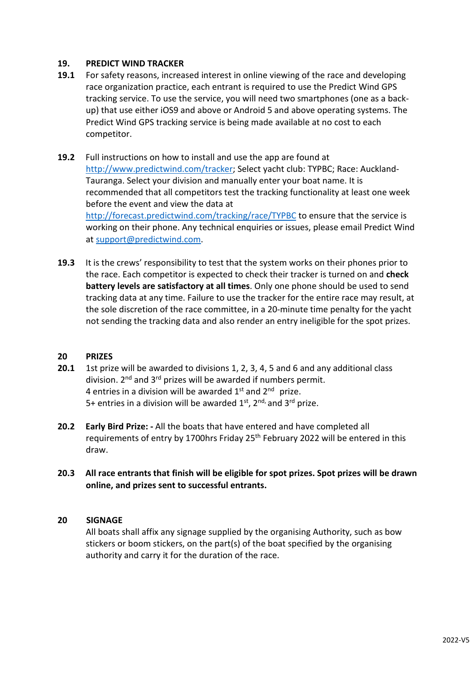## **19. PREDICT WIND TRACKER**

- **19.1** For safety reasons, increased interest in online viewing of the race and developing race organization practice, each entrant is required to use the Predict Wind GPS tracking service. To use the service, you will need two smartphones (one as a backup) that use either iOS9 and above or Android 5 and above operating systems. The Predict Wind GPS tracking service is being made available at no cost to each competitor.
- **19.2** Full instructions on how to install and use the app are found at [http://www.predictwind.com/tracker;](http://www.predictwind.com/tracker) Select yacht club: TYPBC; Race: Auckland-Tauranga. Select your division and manually enter your boat name. It is recommended that all competitors test the tracking functionality at least one week before the event and view the data at <http://forecast.predictwind.com/tracking/race/TYPBC> to ensure that the service is working on their phone. Any technical enquiries or issues, please email Predict Wind at [support@predictwind.com.](mailto:support@predictwind.com)
- **19.3** It is the crews' responsibility to test that the system works on their phones prior to the race. Each competitor is expected to check their tracker is turned on and **check battery levels are satisfactory at all times**. Only one phone should be used to send tracking data at any time. Failure to use the tracker for the entire race may result, at the sole discretion of the race committee, in a 20-minute time penalty for the yacht not sending the tracking data and also render an entry ineligible for the spot prizes.

#### **20 PRIZES**

- **20.1** 1st prize will be awarded to divisions 1, 2, 3, 4, 5 and 6 and any additional class division.  $2^{nd}$  and  $3^{rd}$  prizes will be awarded if numbers permit. 4 entries in a division will be awarded 1st and 2nd prize. 5+ entries in a division will be awarded  $1<sup>st</sup>$ ,  $2<sup>nd</sup>$  and  $3<sup>rd</sup>$  prize.
- **20.2 Early Bird Prize: -** All the boats that have entered and have completed all requirements of entry by 1700hrs Friday 25<sup>th</sup> February 2022 will be entered in this draw.
- **20.3 All race entrants that finish will be eligible for spot prizes. Spot prizes will be drawn online, and prizes sent to successful entrants.**

#### **20 SIGNAGE**

All boats shall affix any signage supplied by the organising Authority, such as bow stickers or boom stickers, on the part(s) of the boat specified by the organising authority and carry it for the duration of the race.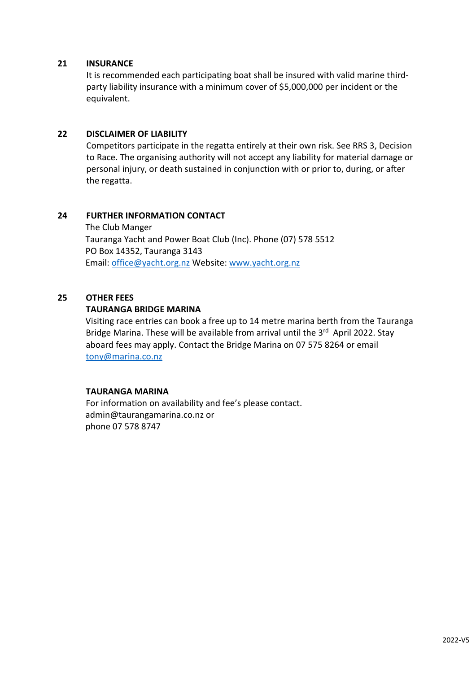## **21 INSURANCE**

It is recommended each participating boat shall be insured with valid marine thirdparty liability insurance with a minimum cover of \$5,000,000 per incident or the equivalent.

# **22 DISCLAIMER OF LIABILITY**

Competitors participate in the regatta entirely at their own risk. See RRS 3, Decision to Race. The organising authority will not accept any liability for material damage or personal injury, or death sustained in conjunction with or prior to, during, or after the regatta.

## **24 FURTHER INFORMATION CONTACT**

 The Club Manger Tauranga Yacht and Power Boat Club (Inc). Phone (07) 578 5512 PO Box 14352, Tauranga 3143 Email: [office@yacht.org.nz](mailto:office@yacht.org.nz) Website[: www.yacht.org.nz](http://www.yacht.org.nz/)

# **25 OTHER FEES**

## **TAURANGA BRIDGE MARINA**

Visiting race entries can book a free up to 14 metre marina berth from the Tauranga Bridge Marina. These will be available from arrival until the 3<sup>rd</sup> April 2022. Stay aboard fees may apply. Contact the Bridge Marina on 07 575 8264 or email [tony@marina.co.nz](mailto:tony@marina.co.nz)

#### **TAURANGA MARINA**

For information on availability and fee's please contact. admin@taurangamarina.co.nz or phone 07 578 8747